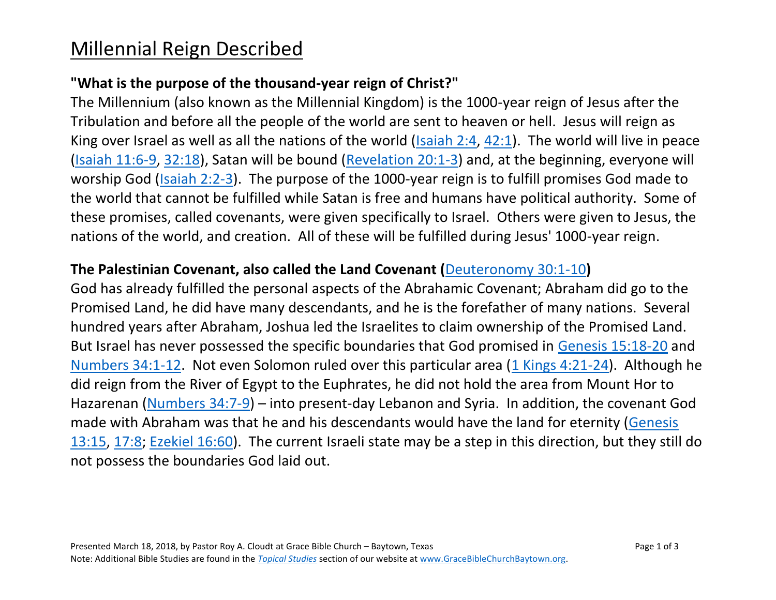# Millennial Reign Described

### **"What is the purpose of the thousand-year reign of Christ?"**

The Millennium (also known as the Millennial Kingdom) is the 1000-year reign of Jesus after the Tribulation and before all the people of the world are sent to heaven or hell. Jesus will reign as King over Israel as well as all the nations of the world [\(Isaiah 2:4,](http://biblia.com/bible/esv/Isaiah%202.4) [42:1\)](http://biblia.com/bible/esv/Isaiah%2042.1). The world will live in peace [\(Isaiah 11:6-9,](http://biblia.com/bible/esv/Isaiah%2011.6-9) [32:18\)](http://biblia.com/bible/esv/Isaiah%2032.18), Satan will be bound [\(Revelation 20:1-3\)](http://biblia.com/bible/esv/Revelation%2020.1-3) and, at the beginning, everyone will worship God [\(Isaiah 2:2-3\)](http://biblia.com/bible/esv/Isaiah%202.2-3). The purpose of the 1000-year reign is to fulfill promises God made to the world that cannot be fulfilled while Satan is free and humans have political authority. Some of these promises, called covenants, were given specifically to Israel. Others were given to Jesus, the nations of the world, and creation. All of these will be fulfilled during Jesus' 1000-year reign.

#### **The Palestinian Covenant, also called the Land Covenant (**[Deuteronomy 30:1-10](https://www.biblegateway.com/passage/?search=Deuteronomy+30%3A1-10&version=NASB)**)**

God has already fulfilled the personal aspects of the Abrahamic Covenant; Abraham did go to the Promised Land, he did have many descendants, and he is the forefather of many nations. Several hundred years after Abraham, Joshua led the Israelites to claim ownership of the Promised Land. But Israel has never possessed the specific boundaries that God promised in [Genesis 15:18-20](http://biblia.com/bible/esv/Genesis%2015.18-20) and [Numbers 34:1-12.](http://biblia.com/bible/esv/Numbers%2034.1-12) Not even Solomon ruled over this particular area [\(1 Kings 4:21-24\)](http://biblia.com/bible/esv/1%20Kings%204.21-24). Although he did reign from the River of Egypt to the Euphrates, he did not hold the area from Mount Hor to Hazarenan [\(Numbers 34:7-9\)](http://biblia.com/bible/esv/Numbers%2034.7-9) – into present-day Lebanon and Syria. In addition, the covenant God made with Abraham was that he and his descendants would have the land for eternity [\(Genesis](http://biblia.com/bible/esv/Genesis%2013.15)  [13:15,](http://biblia.com/bible/esv/Genesis%2013.15) [17:8;](http://biblia.com/bible/esv/Genesis%2017.8) [Ezekiel 16:60\)](http://biblia.com/bible/esv/Ezekiel%2016.60). The current Israeli state may be a step in this direction, but they still do not possess the boundaries God laid out.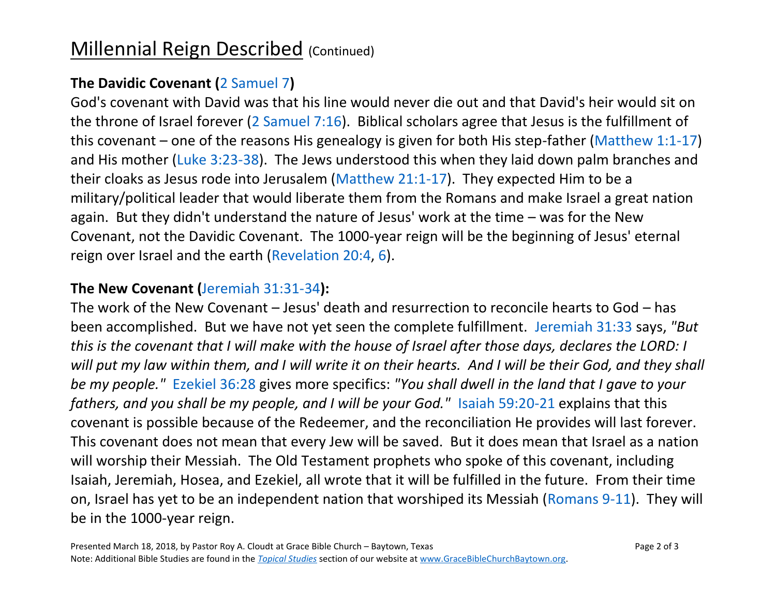# Millennial Reign Described (Continued)

### **The Davidic Covenant (**[2 Samuel 7](https://www.biblegateway.com/passage/?search=2+Samuel+7&version=NASB)**)**

God's covenant with David was that his line would never die out and that David's heir would sit on the throne of Israel forever [\(2 Samuel 7:16\)](http://biblia.com/bible/esv/2%20Samuel%207.16). Biblical scholars agree that Jesus is the fulfillment of this covenant – one of the reasons His genealogy is given for both His step-father [\(Matthew 1:1-17\)](http://biblia.com/bible/esv/Matthew%201.1-17) and His mother [\(Luke 3:23-38\)](http://biblia.com/bible/esv/Luke%203.23-38). The Jews understood this when they laid down palm branches and their cloaks as Jesus rode into Jerusalem [\(Matthew 21:1-17\)](http://biblia.com/bible/esv/Matthew%2021.1-17). They expected Him to be a military/political leader that would liberate them from the Romans and make Israel a great nation again. But they didn't understand the nature of Jesus' work at the time – was for the New Covenant, not the Davidic Covenant. The 1000-year reign will be the beginning of Jesus' eternal reign over Israel and the earth [\(Revelation 20:4,](http://biblia.com/bible/esv/Revelation%2020.4) [6\)](http://biblia.com/bible/esv/Revelation%2020.6).

### **The New Covenant (**[Jeremiah 31:31-34](https://www.biblegateway.com/passage/?search=Jeremiah+31%3A31-34&version=NASB)**):**

The work of the New Covenant – Jesus' death and resurrection to reconcile hearts to God – has been accomplished. But we have not yet seen the complete fulfillment. [Jeremiah 31:33](http://biblia.com/bible/esv/Jeremiah%2031.33) says, *"But this is the covenant that I will make with the house of Israel after those days, declares the LORD: I will put my law within them, and I will write it on their hearts. And I will be their God, and they shall be my people."* [Ezekiel 36:28](http://biblia.com/bible/esv/Ezekiel%2036.28) gives more specifics: *"You shall dwell in the land that I gave to your fathers, and you shall be my people, and I will be your God."* [Isaiah 59:20-21](http://biblia.com/bible/esv/Isaiah%2059.20-21) explains that this covenant is possible because of the Redeemer, and the reconciliation He provides will last forever. This covenant does not mean that every Jew will be saved. But it does mean that Israel as a nation will worship their Messiah. The Old Testament prophets who spoke of this covenant, including Isaiah, Jeremiah, Hosea, and Ezekiel, all wrote that it will be fulfilled in the future. From their time on, Israel has yet to be an independent nation that worshiped its Messiah [\(Romans 9-11\)](http://biblia.com/bible/esv/Romans%209-11). They will be in the 1000-year reign.